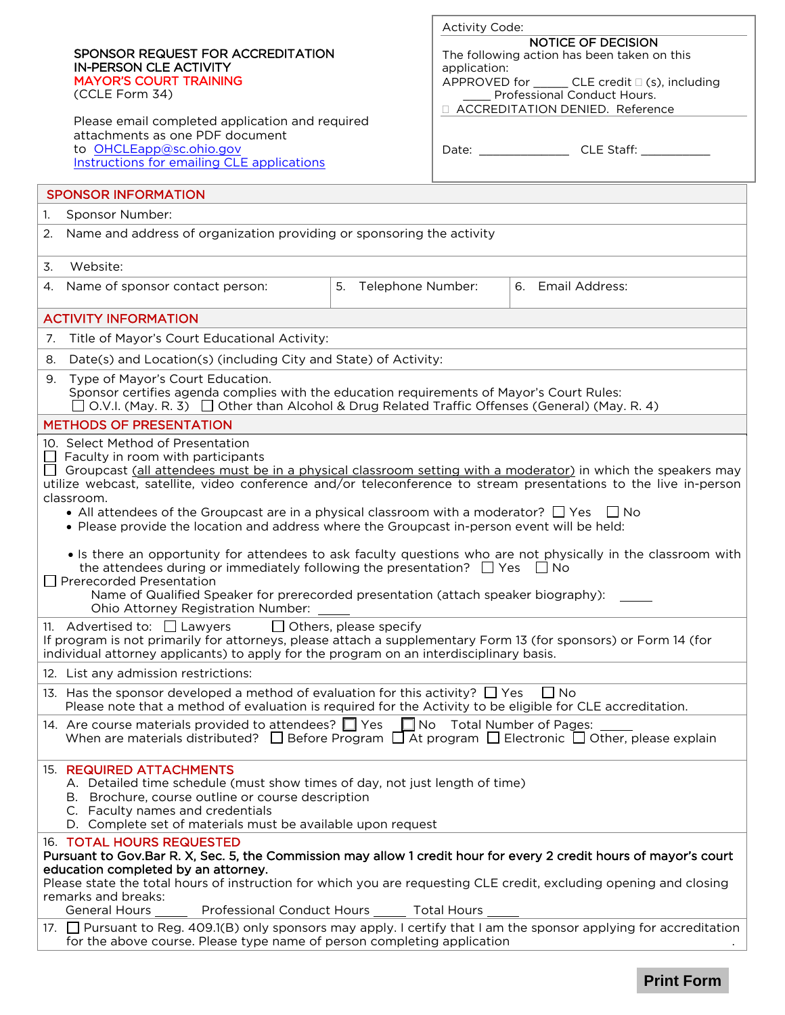|                                                                                                                                                                                                                                                                                                                                                                                                                                                                                                                                                                                                                                                                                                                                                                                                                                                                                                                        | SPONSOR REQUEST FOR ACCREDITATION<br><b>IN-PERSON CLE ACTIVITY</b><br><b>MAYOR'S COURT TRAINING</b><br>(CCLE Form 34)<br>Please email completed application and required<br>attachments as one PDF document<br>to OHCLEapp@sc.ohio.gov<br>Instructions for emailing CLE applications |                      | <b>Activity Code:</b><br>application: | <b>NOTICE OF DECISION</b><br>The following action has been taken on this<br>APPROVED for _______ CLE credit □ (s), including<br>Professional Conduct Hours.<br>□ ACCREDITATION DENIED. Reference<br>Date: CLE Staff: |  |
|------------------------------------------------------------------------------------------------------------------------------------------------------------------------------------------------------------------------------------------------------------------------------------------------------------------------------------------------------------------------------------------------------------------------------------------------------------------------------------------------------------------------------------------------------------------------------------------------------------------------------------------------------------------------------------------------------------------------------------------------------------------------------------------------------------------------------------------------------------------------------------------------------------------------|--------------------------------------------------------------------------------------------------------------------------------------------------------------------------------------------------------------------------------------------------------------------------------------|----------------------|---------------------------------------|----------------------------------------------------------------------------------------------------------------------------------------------------------------------------------------------------------------------|--|
| <b>SPONSOR INFORMATION</b>                                                                                                                                                                                                                                                                                                                                                                                                                                                                                                                                                                                                                                                                                                                                                                                                                                                                                             |                                                                                                                                                                                                                                                                                      |                      |                                       |                                                                                                                                                                                                                      |  |
| 1.<br>Sponsor Number:                                                                                                                                                                                                                                                                                                                                                                                                                                                                                                                                                                                                                                                                                                                                                                                                                                                                                                  |                                                                                                                                                                                                                                                                                      |                      |                                       |                                                                                                                                                                                                                      |  |
| Name and address of organization providing or sponsoring the activity<br>2.                                                                                                                                                                                                                                                                                                                                                                                                                                                                                                                                                                                                                                                                                                                                                                                                                                            |                                                                                                                                                                                                                                                                                      |                      |                                       |                                                                                                                                                                                                                      |  |
| 3.                                                                                                                                                                                                                                                                                                                                                                                                                                                                                                                                                                                                                                                                                                                                                                                                                                                                                                                     | Website:                                                                                                                                                                                                                                                                             |                      |                                       |                                                                                                                                                                                                                      |  |
|                                                                                                                                                                                                                                                                                                                                                                                                                                                                                                                                                                                                                                                                                                                                                                                                                                                                                                                        | 4. Name of sponsor contact person:                                                                                                                                                                                                                                                   | 5. Telephone Number: |                                       | 6. Email Address:                                                                                                                                                                                                    |  |
| <b>ACTIVITY INFORMATION</b>                                                                                                                                                                                                                                                                                                                                                                                                                                                                                                                                                                                                                                                                                                                                                                                                                                                                                            |                                                                                                                                                                                                                                                                                      |                      |                                       |                                                                                                                                                                                                                      |  |
| Title of Mayor's Court Educational Activity:<br>7.                                                                                                                                                                                                                                                                                                                                                                                                                                                                                                                                                                                                                                                                                                                                                                                                                                                                     |                                                                                                                                                                                                                                                                                      |                      |                                       |                                                                                                                                                                                                                      |  |
|                                                                                                                                                                                                                                                                                                                                                                                                                                                                                                                                                                                                                                                                                                                                                                                                                                                                                                                        | 8. Date(s) and Location(s) (including City and State) of Activity:                                                                                                                                                                                                                   |                      |                                       |                                                                                                                                                                                                                      |  |
| 9. Type of Mayor's Court Education.<br>Sponsor certifies agenda complies with the education requirements of Mayor's Court Rules:<br>$\Box$ O.V.I. (May. R. 3) $\Box$ Other than Alcohol & Drug Related Traffic Offenses (General) (May. R. 4)                                                                                                                                                                                                                                                                                                                                                                                                                                                                                                                                                                                                                                                                          |                                                                                                                                                                                                                                                                                      |                      |                                       |                                                                                                                                                                                                                      |  |
| <b>METHODS OF PRESENTATION</b>                                                                                                                                                                                                                                                                                                                                                                                                                                                                                                                                                                                                                                                                                                                                                                                                                                                                                         |                                                                                                                                                                                                                                                                                      |                      |                                       |                                                                                                                                                                                                                      |  |
| 10. Select Method of Presentation<br>$\Box$ Faculty in room with participants<br>□ Groupcast (all attendees must be in a physical classroom setting with a moderator) in which the speakers may<br>utilize webcast, satellite, video conference and/or teleconference to stream presentations to the live in-person<br>classroom.<br>• All attendees of the Groupcast are in a physical classroom with a moderator? $\Box$ Yes $\Box$ No<br>. Please provide the location and address where the Groupcast in-person event will be held:<br>• Is there an opportunity for attendees to ask faculty questions who are not physically in the classroom with<br>the attendees during or immediately following the presentation? $\Box$ Yes $\Box$ No<br>$\Box$ Prerecorded Presentation<br>Name of Qualified Speaker for prerecorded presentation (attach speaker biography):<br><b>Ohio Attorney Registration Number:</b> |                                                                                                                                                                                                                                                                                      |                      |                                       |                                                                                                                                                                                                                      |  |
| $\Box$ Others, please specify<br>11. Advertised to: $\Box$ Lawyers<br>If program is not primarily for attorneys, please attach a supplementary Form 13 (for sponsors) or Form 14 (for<br>individual attorney applicants) to apply for the program on an interdisciplinary basis.                                                                                                                                                                                                                                                                                                                                                                                                                                                                                                                                                                                                                                       |                                                                                                                                                                                                                                                                                      |                      |                                       |                                                                                                                                                                                                                      |  |
| 12. List any admission restrictions:                                                                                                                                                                                                                                                                                                                                                                                                                                                                                                                                                                                                                                                                                                                                                                                                                                                                                   |                                                                                                                                                                                                                                                                                      |                      |                                       |                                                                                                                                                                                                                      |  |
| 13. Has the sponsor developed a method of evaluation for this activity? $\Box$ Yes<br>$\Box$ No<br>Please note that a method of evaluation is required for the Activity to be eligible for CLE accreditation.                                                                                                                                                                                                                                                                                                                                                                                                                                                                                                                                                                                                                                                                                                          |                                                                                                                                                                                                                                                                                      |                      |                                       |                                                                                                                                                                                                                      |  |
| 14. Are course materials provided to attendees? T Yes T No Total Number of Pages:<br>When are materials distributed? $\Box$ Before Program $\Box$ At program $\Box$ Electronic $\Box$ Other, please explain                                                                                                                                                                                                                                                                                                                                                                                                                                                                                                                                                                                                                                                                                                            |                                                                                                                                                                                                                                                                                      |                      |                                       |                                                                                                                                                                                                                      |  |
| 15. REQUIRED ATTACHMENTS<br>A. Detailed time schedule (must show times of day, not just length of time)<br>B. Brochure, course outline or course description<br>C. Faculty names and credentials<br>D. Complete set of materials must be available upon request                                                                                                                                                                                                                                                                                                                                                                                                                                                                                                                                                                                                                                                        |                                                                                                                                                                                                                                                                                      |                      |                                       |                                                                                                                                                                                                                      |  |
| 16. TOTAL HOURS REQUESTED<br>Pursuant to Gov.Bar R. X, Sec. 5, the Commission may allow 1 credit hour for every 2 credit hours of mayor's court<br>education completed by an attorney.<br>Please state the total hours of instruction for which you are requesting CLE credit, excluding opening and closing<br>remarks and breaks:                                                                                                                                                                                                                                                                                                                                                                                                                                                                                                                                                                                    |                                                                                                                                                                                                                                                                                      |                      |                                       |                                                                                                                                                                                                                      |  |
| <b>General Hours</b><br>Professional Conduct Hours Total Hours<br>17. □ Pursuant to Reg. 409.1(B) only sponsors may apply. I certify that I am the sponsor applying for accreditation                                                                                                                                                                                                                                                                                                                                                                                                                                                                                                                                                                                                                                                                                                                                  |                                                                                                                                                                                                                                                                                      |                      |                                       |                                                                                                                                                                                                                      |  |
| for the above course. Please type name of person completing application                                                                                                                                                                                                                                                                                                                                                                                                                                                                                                                                                                                                                                                                                                                                                                                                                                                |                                                                                                                                                                                                                                                                                      |                      |                                       |                                                                                                                                                                                                                      |  |